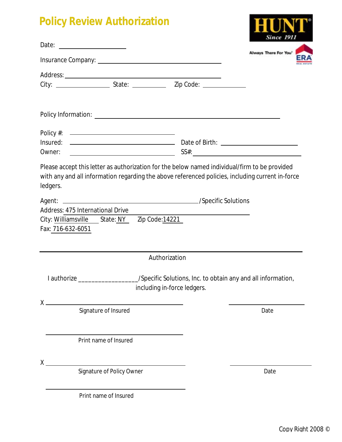## **Policy Review Authorization**

| <b>Policy Review Authorization</b> |                                              |                                                                                                                               |       |
|------------------------------------|----------------------------------------------|-------------------------------------------------------------------------------------------------------------------------------|-------|
|                                    |                                              |                                                                                                                               | Since |
|                                    | Always There For You'                        |                                                                                                                               |       |
|                                    |                                              |                                                                                                                               |       |
|                                    |                                              |                                                                                                                               |       |
|                                    |                                              |                                                                                                                               |       |
|                                    | Policy #: ————————————————————               |                                                                                                                               |       |
| Insured:<br>Owner:                 |                                              |                                                                                                                               |       |
| Fax: 716-632-6051                  | City: Williamsville State: NY Zip Code:14221 |                                                                                                                               |       |
|                                    |                                              | Authorization                                                                                                                 |       |
|                                    |                                              | I authorize ______________________/Specific Solutions, Inc. to obtain any and all information,<br>including in-force ledgers. |       |
| $X \longrightarrow$                | Signature of Insured                         |                                                                                                                               | Date  |
|                                    | Print name of Insured                        |                                                                                                                               |       |
| $X_{-}$                            | Signature of Policy Owner                    |                                                                                                                               | Date  |
|                                    | Print name of Insured                        |                                                                                                                               |       |